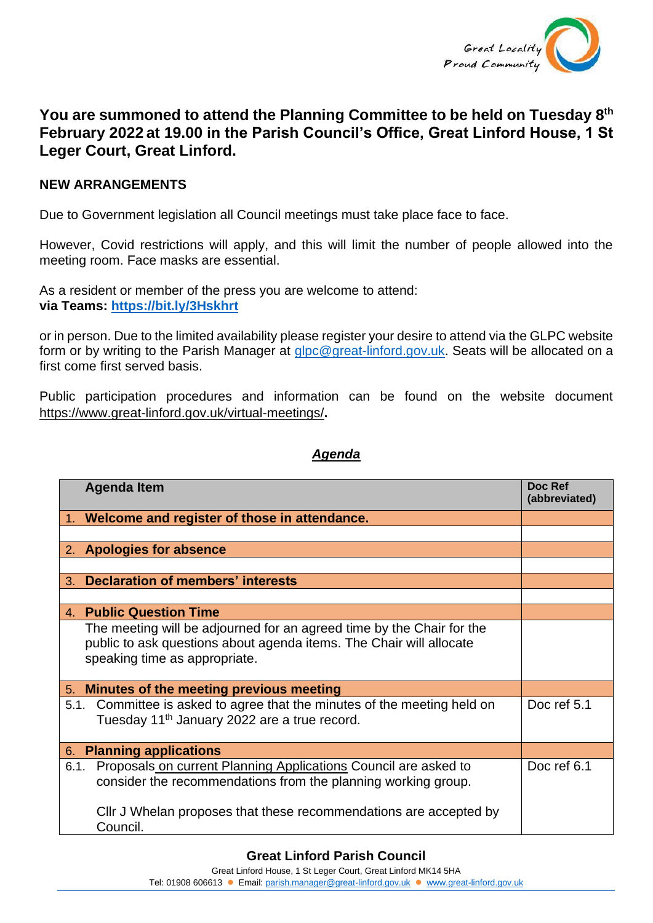

## **You are summoned to attend the Planning Committee to be held on Tuesday 8 th February 2022 at 19.00 in the Parish Council's Office, Great Linford House, 1 St Leger Court, Great Linford.**

## **NEW ARRANGEMENTS**

Due to Government legislation all Council meetings must take place face to face.

However, Covid restrictions will apply, and this will limit the number of people allowed into the meeting room. Face masks are essential.

As a resident or member of the press you are welcome to attend: **via Teams:<https://bit.ly/3Hskhrt>**

or in person. Due to the limited availability please register your desire to attend via the GLPC website form or by writing to the Parish Manager at [glpc@great-linford.gov.uk.](mailto:glpc@great-linford.gov.uk) Seats will be allocated on a first come first served basis.

Public participation procedures and information can be found on the website document <https://www.great-linford.gov.uk/virtual-meetings/>**.**

## *Agenda*

| <b>Agenda Item</b>                                                                                                                                                            | Doc Ref<br>(abbreviated) |
|-------------------------------------------------------------------------------------------------------------------------------------------------------------------------------|--------------------------|
| 1. Welcome and register of those in attendance.                                                                                                                               |                          |
|                                                                                                                                                                               |                          |
| 2. Apologies for absence                                                                                                                                                      |                          |
|                                                                                                                                                                               |                          |
| <b>Declaration of members' interests</b><br>3.                                                                                                                                |                          |
|                                                                                                                                                                               |                          |
| 4. Public Question Time                                                                                                                                                       |                          |
| The meeting will be adjourned for an agreed time by the Chair for the<br>public to ask questions about agenda items. The Chair will allocate<br>speaking time as appropriate. |                          |
| Minutes of the meeting previous meeting<br>5.                                                                                                                                 |                          |
| 5.1. Committee is asked to agree that the minutes of the meeting held on<br>Tuesday 11 <sup>th</sup> January 2022 are a true record.                                          | Doc ref 5.1              |
| 6. Planning applications                                                                                                                                                      |                          |
| Proposals on current Planning Applications Council are asked to<br>6.1.<br>consider the recommendations from the planning working group.                                      | Doc ref 6.1              |
| Cllr J Whelan proposes that these recommendations are accepted by<br>Council.                                                                                                 |                          |